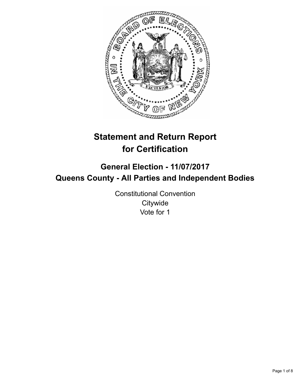

# **Statement and Return Report for Certification**

## **General Election - 11/07/2017 Queens County - All Parties and Independent Bodies**

Constitutional Convention **Citywide** Vote for 1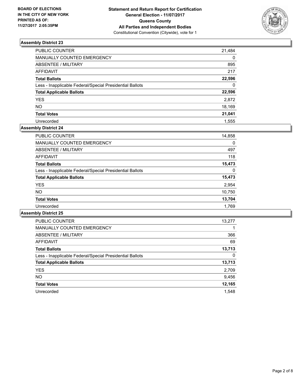

| PUBLIC COUNTER                                           | 21,484   |
|----------------------------------------------------------|----------|
| <b>MANUALLY COUNTED EMERGENCY</b>                        | $\Omega$ |
| <b>ABSENTEE / MILITARY</b>                               | 895      |
| <b>AFFIDAVIT</b>                                         | 217      |
| <b>Total Ballots</b>                                     | 22,596   |
| Less - Inapplicable Federal/Special Presidential Ballots | $\Omega$ |
| <b>Total Applicable Ballots</b>                          | 22,596   |
| <b>YES</b>                                               | 2,872    |
| <b>NO</b>                                                | 18,169   |
| <b>Total Votes</b>                                       | 21,041   |
| Unrecorded                                               | 1.555    |

#### **Assembly District 24**

| <b>PUBLIC COUNTER</b>                                    | 14,858 |
|----------------------------------------------------------|--------|
| <b>MANUALLY COUNTED EMERGENCY</b>                        | 0      |
| ABSENTEE / MILITARY                                      | 497    |
| <b>AFFIDAVIT</b>                                         | 118    |
| <b>Total Ballots</b>                                     | 15,473 |
| Less - Inapplicable Federal/Special Presidential Ballots | 0      |
| <b>Total Applicable Ballots</b>                          | 15,473 |
| <b>YES</b>                                               | 2,954  |
| <b>NO</b>                                                | 10,750 |
| <b>Total Votes</b>                                       | 13,704 |
| Unrecorded                                               | 1.769  |

| <b>PUBLIC COUNTER</b>                                    | 13,277 |
|----------------------------------------------------------|--------|
| <b>MANUALLY COUNTED EMERGENCY</b>                        |        |
| ABSENTEE / MILITARY                                      | 366    |
| AFFIDAVIT                                                | 69     |
| <b>Total Ballots</b>                                     | 13,713 |
| Less - Inapplicable Federal/Special Presidential Ballots | 0      |
| <b>Total Applicable Ballots</b>                          | 13,713 |
| <b>YES</b>                                               | 2,709  |
| <b>NO</b>                                                | 9,456  |
| <b>Total Votes</b>                                       | 12,165 |
| Unrecorded                                               | 1.548  |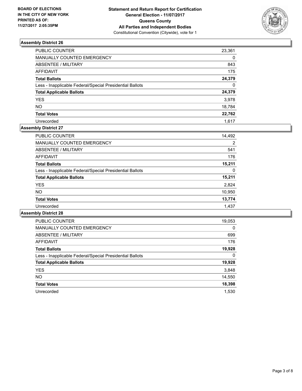

| PUBLIC COUNTER                                           | 23,361   |
|----------------------------------------------------------|----------|
| <b>MANUALLY COUNTED EMERGENCY</b>                        | 0        |
| <b>ABSENTEE / MILITARY</b>                               | 843      |
| <b>AFFIDAVIT</b>                                         | 175      |
| <b>Total Ballots</b>                                     | 24,379   |
| Less - Inapplicable Federal/Special Presidential Ballots | $\Omega$ |
| <b>Total Applicable Ballots</b>                          | 24,379   |
| <b>YES</b>                                               | 3,978    |
| <b>NO</b>                                                | 18,784   |
| <b>Total Votes</b>                                       | 22,762   |
| Unrecorded                                               | 1.617    |

## **Assembly District 27**

| 14,492 |
|--------|
| 2      |
| 541    |
| 176    |
| 15,211 |
| 0      |
| 15,211 |
| 2,824  |
| 10,950 |
| 13,774 |
| 1,437  |
|        |

| <b>PUBLIC COUNTER</b>                                    | 19,053 |
|----------------------------------------------------------|--------|
| <b>MANUALLY COUNTED EMERGENCY</b>                        | 0      |
| <b>ABSENTEE / MILITARY</b>                               | 699    |
| <b>AFFIDAVIT</b>                                         | 176    |
| <b>Total Ballots</b>                                     | 19,928 |
| Less - Inapplicable Federal/Special Presidential Ballots | 0      |
| <b>Total Applicable Ballots</b>                          | 19,928 |
| <b>YES</b>                                               | 3,848  |
| NO.                                                      | 14,550 |
| <b>Total Votes</b>                                       | 18,398 |
| Unrecorded                                               | 1.530  |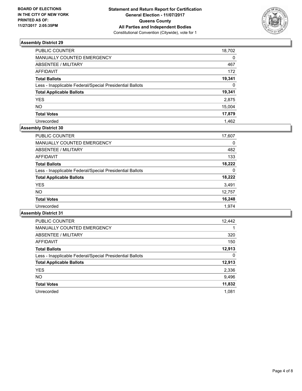

| PUBLIC COUNTER                                           | 18,702   |
|----------------------------------------------------------|----------|
| MANUALLY COUNTED EMERGENCY                               | $\Omega$ |
| <b>ABSENTEE / MILITARY</b>                               | 467      |
| <b>AFFIDAVIT</b>                                         | 172      |
| <b>Total Ballots</b>                                     | 19,341   |
| Less - Inapplicable Federal/Special Presidential Ballots | $\Omega$ |
| <b>Total Applicable Ballots</b>                          | 19,341   |
| <b>YES</b>                                               | 2,875    |
| <b>NO</b>                                                | 15,004   |
| <b>Total Votes</b>                                       | 17,879   |
| Unrecorded                                               | 1.462    |

## **Assembly District 30**

| <b>PUBLIC COUNTER</b>                                    | 17,607 |
|----------------------------------------------------------|--------|
| <b>MANUALLY COUNTED EMERGENCY</b>                        | 0      |
| ABSENTEE / MILITARY                                      | 482    |
| AFFIDAVIT                                                | 133    |
| <b>Total Ballots</b>                                     | 18.222 |
| Less - Inapplicable Federal/Special Presidential Ballots | 0      |
| <b>Total Applicable Ballots</b>                          | 18,222 |
| <b>YES</b>                                               | 3,491  |
| <b>NO</b>                                                | 12,757 |
| <b>Total Votes</b>                                       | 16,248 |
| Unrecorded                                               | 1.974  |

| <b>PUBLIC COUNTER</b>                                    | 12,442 |
|----------------------------------------------------------|--------|
| <b>MANUALLY COUNTED EMERGENCY</b>                        |        |
| <b>ABSENTEE / MILITARY</b>                               | 320    |
| AFFIDAVIT                                                | 150    |
| <b>Total Ballots</b>                                     | 12,913 |
| Less - Inapplicable Federal/Special Presidential Ballots | 0      |
| <b>Total Applicable Ballots</b>                          | 12,913 |
| <b>YES</b>                                               | 2,336  |
| NO.                                                      | 9,496  |
| <b>Total Votes</b>                                       | 11,832 |
| Unrecorded                                               | 1.081  |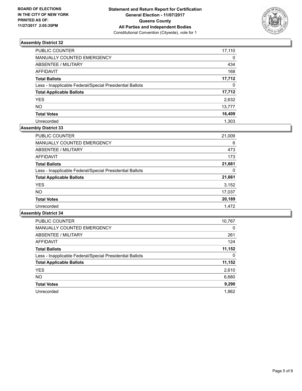

| PUBLIC COUNTER                                           | 17,110   |
|----------------------------------------------------------|----------|
| <b>MANUALLY COUNTED EMERGENCY</b>                        | 0        |
| <b>ABSENTEE / MILITARY</b>                               | 434      |
| <b>AFFIDAVIT</b>                                         | 168      |
| <b>Total Ballots</b>                                     | 17,712   |
| Less - Inapplicable Federal/Special Presidential Ballots | $\Omega$ |
| <b>Total Applicable Ballots</b>                          | 17,712   |
| <b>YES</b>                                               | 2,632    |
| <b>NO</b>                                                | 13,777   |
| <b>Total Votes</b>                                       | 16,409   |
| Unrecorded                                               | 1.303    |

#### **Assembly District 33**

| <b>PUBLIC COUNTER</b>                                    | 21,009 |
|----------------------------------------------------------|--------|
| <b>MANUALLY COUNTED EMERGENCY</b>                        | 6      |
| ABSENTEE / MILITARY                                      | 473    |
| <b>AFFIDAVIT</b>                                         | 173    |
| <b>Total Ballots</b>                                     | 21,661 |
| Less - Inapplicable Federal/Special Presidential Ballots | 0      |
| <b>Total Applicable Ballots</b>                          | 21,661 |
| <b>YES</b>                                               | 3,152  |
| <b>NO</b>                                                | 17,037 |
| <b>Total Votes</b>                                       | 20,189 |
| Unrecorded                                               | 1.472  |

| <b>PUBLIC COUNTER</b>                                    | 10,767 |
|----------------------------------------------------------|--------|
| <b>MANUALLY COUNTED EMERGENCY</b>                        | 0      |
| <b>ABSENTEE / MILITARY</b>                               | 261    |
| <b>AFFIDAVIT</b>                                         | 124    |
| <b>Total Ballots</b>                                     | 11,152 |
| Less - Inapplicable Federal/Special Presidential Ballots | 0      |
| <b>Total Applicable Ballots</b>                          | 11,152 |
| <b>YES</b>                                               | 2,610  |
| <b>NO</b>                                                | 6,680  |
| <b>Total Votes</b>                                       | 9,290  |
| Unrecorded                                               | 1.862  |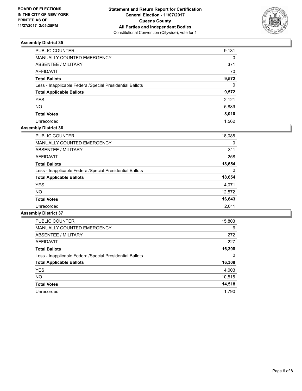

| PUBLIC COUNTER                                           | 9,131    |
|----------------------------------------------------------|----------|
| <b>MANUALLY COUNTED EMERGENCY</b>                        | 0        |
| <b>ABSENTEE / MILITARY</b>                               | 371      |
| <b>AFFIDAVIT</b>                                         | 70       |
| <b>Total Ballots</b>                                     | 9,572    |
| Less - Inapplicable Federal/Special Presidential Ballots | $\Omega$ |
| <b>Total Applicable Ballots</b>                          | 9,572    |
| <b>YES</b>                                               | 2,121    |
| <b>NO</b>                                                | 5,889    |
| <b>Total Votes</b>                                       | 8,010    |
| Unrecorded                                               | 1.562    |

## **Assembly District 36**

| <b>PUBLIC COUNTER</b>                                    | 18,085 |
|----------------------------------------------------------|--------|
| MANUALLY COUNTED EMERGENCY                               | 0      |
| ABSENTEE / MILITARY                                      | 311    |
| AFFIDAVIT                                                | 258    |
| <b>Total Ballots</b>                                     | 18,654 |
| Less - Inapplicable Federal/Special Presidential Ballots | 0      |
| <b>Total Applicable Ballots</b>                          | 18,654 |
| <b>YES</b>                                               | 4,071  |
| <b>NO</b>                                                | 12,572 |
| <b>Total Votes</b>                                       | 16,643 |
| Unrecorded                                               | 2,011  |

| <b>PUBLIC COUNTER</b>                                    | 15,803 |
|----------------------------------------------------------|--------|
| <b>MANUALLY COUNTED EMERGENCY</b>                        | 6      |
| <b>ABSENTEE / MILITARY</b>                               | 272    |
| <b>AFFIDAVIT</b>                                         | 227    |
| <b>Total Ballots</b>                                     | 16,308 |
| Less - Inapplicable Federal/Special Presidential Ballots | 0      |
| <b>Total Applicable Ballots</b>                          | 16,308 |
| <b>YES</b>                                               | 4,003  |
| <b>NO</b>                                                | 10,515 |
| <b>Total Votes</b>                                       | 14,518 |
| Unrecorded                                               | 1.790  |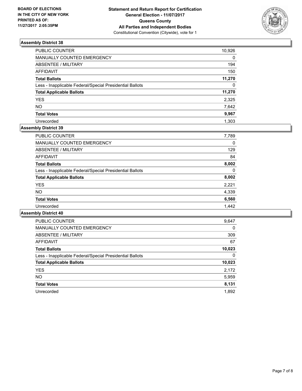

| PUBLIC COUNTER                                           | 10,926   |
|----------------------------------------------------------|----------|
| MANUALLY COUNTED EMERGENCY                               | 0        |
| ABSENTEE / MILITARY                                      | 194      |
| AFFIDAVIT                                                | 150      |
| <b>Total Ballots</b>                                     | 11,270   |
| Less - Inapplicable Federal/Special Presidential Ballots | $\Omega$ |
| <b>Total Applicable Ballots</b>                          | 11,270   |
| YES.                                                     | 2,325    |
| NΟ                                                       | 7,642    |
| <b>Total Votes</b>                                       | 9,967    |
| Unrecorded                                               | 1.303    |

## **Assembly District 39**

| PUBLIC COUNTER                                           | 7,789 |
|----------------------------------------------------------|-------|
| <b>MANUALLY COUNTED EMERGENCY</b>                        | 0     |
| ABSENTEE / MILITARY                                      | 129   |
| <b>AFFIDAVIT</b>                                         | 84    |
| <b>Total Ballots</b>                                     | 8.002 |
| Less - Inapplicable Federal/Special Presidential Ballots | 0     |
| <b>Total Applicable Ballots</b>                          | 8,002 |
| <b>YES</b>                                               | 2,221 |
| <b>NO</b>                                                | 4,339 |
| <b>Total Votes</b>                                       | 6,560 |
| Unrecorded                                               | 1.442 |

| <b>PUBLIC COUNTER</b>                                    | 9,647  |
|----------------------------------------------------------|--------|
| <b>MANUALLY COUNTED EMERGENCY</b>                        | 0      |
| ABSENTEE / MILITARY                                      | 309    |
| <b>AFFIDAVIT</b>                                         | 67     |
| <b>Total Ballots</b>                                     | 10,023 |
| Less - Inapplicable Federal/Special Presidential Ballots | 0      |
| <b>Total Applicable Ballots</b>                          | 10,023 |
| <b>YES</b>                                               | 2,172  |
| NO.                                                      | 5,959  |
| <b>Total Votes</b>                                       | 8,131  |
| Unrecorded                                               | 1.892  |